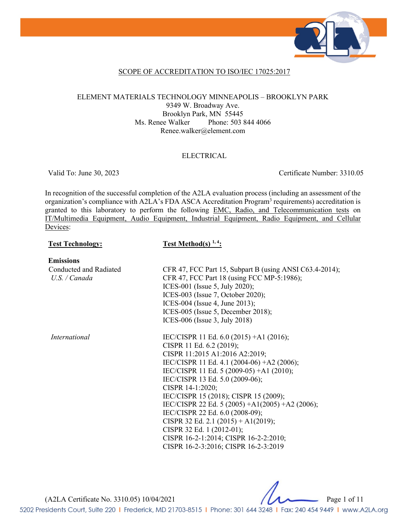

## SCOPE OF ACCREDITATION TO ISO/IEC 17025:2017

## ELEMENT MATERIALS TECHNOLOGY MINNEAPOLIS – BROOKLYN PARK 9349 W. Broadway Ave. Brooklyn Park, MN 55445 Ms. Renee Walker Phone: 503 844 4066 Renee.walker@element.com

### ELECTRICAL

Valid To: June 30, 2023 Certificate Number: 3310.05

In recognition of the successful completion of the A2LA evaluation process (including an assessment of the organization's compliance with A2LA's FDA ASCA Accreditation Program<sup>3</sup> requirements) accreditation is granted to this laboratory to perform the following EMC, Radio, and Telecommunication tests on IT/Multimedia Equipment, Audio Equipment, Industrial Equipment, Radio Equipment, and Cellular Devices:

## **Test Technology: Test Method(s) 1, 4:**

**Emissions** Conducted and Radiated *U.S. / Canada*

CFR 47, FCC Part 15, Subpart B (using ANSI C63.4-2014); CFR 47, FCC Part 18 (using FCC MP-5:1986); ICES-001 (Issue 5, July 2020); ICES-003 (Issue 7, October 2020); ICES-004 (Issue 4, June 2013); ICES-005 (Issue 5, December 2018); ICES-006 (Issue 3, July 2018)

*International* **IEC/CISPR 11 Ed. 6.0 (2015)** +A1 (2016); CISPR 11 Ed. 6.2 (2019); CISPR 11:2015 A1:2016 A2:2019; IEC/CISPR 11 Ed. 4.1 (2004-06) +A2 (2006); IEC/CISPR 11 Ed. 5 (2009-05) +A1 (2010); IEC/CISPR 13 Ed. 5.0 (2009-06); CISPR 14-1:2020; IEC/CISPR 15 (2018); CISPR 15 (2009); IEC/CISPR 22 Ed. 5 (2005) +A1(2005) +A2 (2006); IEC/CISPR 22 Ed. 6.0 (2008-09); CISPR 32 Ed. 2.1 (2015) + A1(2019); CISPR 32 Ed. 1 (2012-01); CISPR 16-2-1:2014; CISPR 16-2-2:2010; CISPR 16-2-3:2016; CISPR 16-2-3:2019

(A2LA Certificate No. 3310.05) 10/04/2021 Page 1 of 11

5202 Presidents Court, Suite 220 | Frederick, MD 21703-8515 | Phone: 301 644 3248 | Fax: 240 454 9449 | www.A2LA.org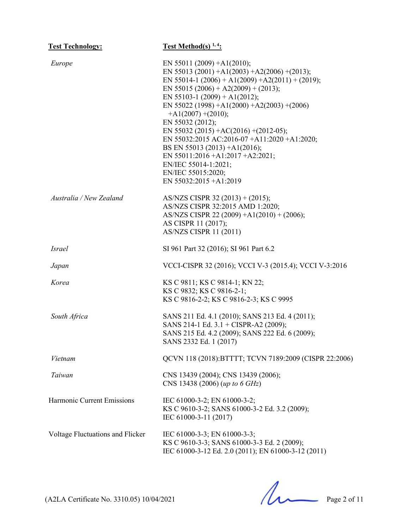| <b>Test Technology:</b>          | <b>Test Method(s)</b> $1, 4$ :                                                                                                                                                                                                                                                                                                                                                                                                                                                                                                                         |
|----------------------------------|--------------------------------------------------------------------------------------------------------------------------------------------------------------------------------------------------------------------------------------------------------------------------------------------------------------------------------------------------------------------------------------------------------------------------------------------------------------------------------------------------------------------------------------------------------|
| Europe                           | EN 55011 (2009) + A1(2010);<br>EN 55013 (2001) + A1(2003) + A2(2006) + (2013);<br>EN 55014-1 (2006) + A1(2009) + A2(2011) + (2019);<br>EN 55015 (2006) + A2(2009) + (2013);<br>EN 55103-1 (2009) + A1(2012);<br>EN 55022 (1998) + A1(2000) + A2(2003) + (2006)<br>$+A1(2007) + (2010);$<br>EN 55032 (2012);<br>EN 55032 (2015) + AC(2016) + (2012-05);<br>EN 55032:2015 AC:2016-07 +A11:2020 +A1:2020;<br>BS EN 55013 (2013) +A1(2016);<br>EN 55011:2016 + A1:2017 + A2:2021;<br>EN/IEC 55014-1:2021;<br>EN/IEC 55015:2020;<br>EN 55032:2015 + A1:2019 |
| Australia / New Zealand          | AS/NZS CISPR 32 (2013) + (2015);<br>AS/NZS CISPR 32:2015 AMD 1:2020;<br>AS/NZS CISPR 22 (2009) +A1(2010) + (2006);<br>AS CISPR 11 (2017);<br><b>AS/NZS CISPR 11 (2011)</b>                                                                                                                                                                                                                                                                                                                                                                             |
| <i>Israel</i>                    | SI 961 Part 32 (2016); SI 961 Part 6.2                                                                                                                                                                                                                                                                                                                                                                                                                                                                                                                 |
| Japan                            | VCCI-CISPR 32 (2016); VCCI V-3 (2015.4); VCCI V-3:2016                                                                                                                                                                                                                                                                                                                                                                                                                                                                                                 |
| Korea                            | KS C 9811; KS C 9814-1; KN 22;<br>KS C 9832; KS C 9816-2-1;<br>KS C 9816-2-2; KS C 9816-2-3; KS C 9995                                                                                                                                                                                                                                                                                                                                                                                                                                                 |
| South Africa                     | SANS 211 Ed. 4.1 (2010); SANS 213 Ed. 4 (2011);<br>SANS 214-1 Ed. 3.1 + CISPR-A2 (2009);<br>SANS 215 Ed. 4.2 (2009); SANS 222 Ed. 6 (2009);<br>SANS 2332 Ed. 1 (2017)                                                                                                                                                                                                                                                                                                                                                                                  |
| Vietnam                          | QCVN 118 (2018): BTTTT; TCVN 7189:2009 (CISPR 22:2006)                                                                                                                                                                                                                                                                                                                                                                                                                                                                                                 |
| Taiwan                           | CNS 13439 (2004); CNS 13439 (2006);<br>CNS 13438 (2006) (up to 6 GHz)                                                                                                                                                                                                                                                                                                                                                                                                                                                                                  |
| Harmonic Current Emissions       | IEC 61000-3-2; EN 61000-3-2;<br>KS C 9610-3-2; SANS 61000-3-2 Ed. 3.2 (2009);<br>IEC 61000-3-11 (2017)                                                                                                                                                                                                                                                                                                                                                                                                                                                 |
| Voltage Fluctuations and Flicker | IEC 61000-3-3; EN 61000-3-3;<br>KS C 9610-3-3; SANS 61000-3-3 Ed. 2 (2009);<br>IEC 61000-3-12 Ed. 2.0 (2011); EN 61000-3-12 (2011)                                                                                                                                                                                                                                                                                                                                                                                                                     |

 $(A2LA \text{ Certificance No. } 3310.05) 10/04/2021$  Page 2 of 11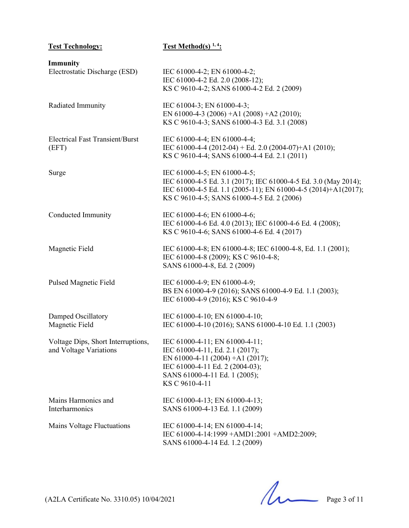| <b>Test Technology:</b>                                      | <b>Test Method(s)</b> $1, 4$ :                                                                                                                                                                                  |
|--------------------------------------------------------------|-----------------------------------------------------------------------------------------------------------------------------------------------------------------------------------------------------------------|
| Immunity<br>Electrostatic Discharge (ESD)                    | IEC 61000-4-2; EN 61000-4-2;<br>IEC 61000-4-2 Ed. 2.0 (2008-12);<br>KS C 9610-4-2; SANS 61000-4-2 Ed. 2 (2009)                                                                                                  |
| Radiated Immunity                                            | IEC 61004-3; EN 61000-4-3;<br>EN 61000-4-3 (2006) +A1 (2008) +A2 (2010);<br>KS C 9610-4-3; SANS 61000-4-3 Ed. 3.1 (2008)                                                                                        |
| <b>Electrical Fast Transient/Burst</b><br>(EFT)              | IEC 61000-4-4; EN 61000-4-4;<br>IEC 61000-4-4 (2012-04) + Ed. 2.0 (2004-07)+A1 (2010);<br>KS C 9610-4-4; SANS 61000-4-4 Ed. 2.1 (2011)                                                                          |
| Surge                                                        | IEC 61000-4-5; EN 61000-4-5;<br>IEC 61000-4-5 Ed. 3.1 (2017); IEC 61000-4-5 Ed. 3.0 (May 2014);<br>IEC 61000-4-5 Ed. 1.1 (2005-11); EN 61000-4-5 (2014)+A1(2017);<br>KS C 9610-4-5; SANS 61000-4-5 Ed. 2 (2006) |
| Conducted Immunity                                           | IEC 61000-4-6; EN 61000-4-6;<br>IEC 61000-4-6 Ed. 4.0 (2013); IEC 61000-4-6 Ed. 4 (2008);<br>KS C 9610-4-6; SANS 61000-4-6 Ed. 4 (2017)                                                                         |
| Magnetic Field                                               | IEC 61000-4-8; EN 61000-4-8; IEC 61000-4-8, Ed. 1.1 (2001);<br>IEC 61000-4-8 (2009); KS C 9610-4-8;<br>SANS 61000-4-8, Ed. 2 (2009)                                                                             |
| Pulsed Magnetic Field                                        | IEC 61000-4-9; EN 61000-4-9;<br>BS EN 61000-4-9 (2016); SANS 61000-4-9 Ed. 1.1 (2003);<br>IEC 61000-4-9 (2016); KS C 9610-4-9                                                                                   |
| Damped Oscillatory<br>Magnetic Field                         | IEC 61000-4-10; EN 61000-4-10;<br>IEC 61000-4-10 (2016); SANS 61000-4-10 Ed. 1.1 (2003)                                                                                                                         |
| Voltage Dips, Short Interruptions,<br>and Voltage Variations | IEC 61000-4-11; EN 61000-4-11;<br>IEC 61000-4-11, Ed. 2.1 (2017);<br>EN 61000-4-11 (2004) +A1 (2017);<br>IEC 61000-4-11 Ed. 2 (2004-03);<br>SANS 61000-4-11 Ed. 1 (2005);<br>KS C 9610-4-11                     |
| Mains Harmonics and<br>Interharmonics                        | IEC 61000-4-13; EN 61000-4-13;<br>SANS 61000-4-13 Ed. 1.1 (2009)                                                                                                                                                |
| Mains Voltage Fluctuations                                   | IEC 61000-4-14; EN 61000-4-14;<br>IEC 61000-4-14:1999 + AMD1:2001 + AMD2:2009;<br>SANS 61000-4-14 Ed. 1.2 (2009)                                                                                                |

 $(A2LA \text{ Certificance No. } 3310.05) 10/04/2021$  Page 3 of 11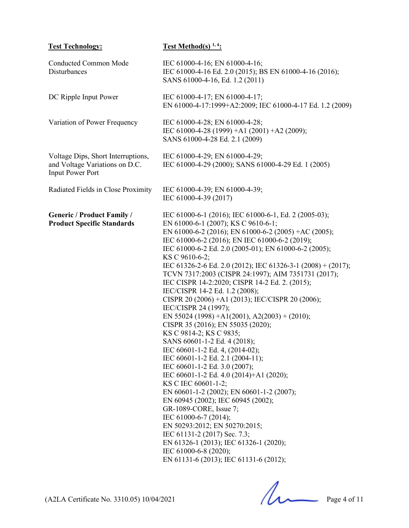| <b>Test Technology:</b>                                                                         | <b>Test Method(s)</b> $1, 4$ :                                                                                                                                                                                                                                                                                                                                                                                                                                                                                                                                                                                                                                                                                                                                                                                                                                                                                                                                                                                                                                                                                                                                                                                          |
|-------------------------------------------------------------------------------------------------|-------------------------------------------------------------------------------------------------------------------------------------------------------------------------------------------------------------------------------------------------------------------------------------------------------------------------------------------------------------------------------------------------------------------------------------------------------------------------------------------------------------------------------------------------------------------------------------------------------------------------------------------------------------------------------------------------------------------------------------------------------------------------------------------------------------------------------------------------------------------------------------------------------------------------------------------------------------------------------------------------------------------------------------------------------------------------------------------------------------------------------------------------------------------------------------------------------------------------|
| Conducted Common Mode<br>Disturbances                                                           | IEC 61000-4-16; EN 61000-4-16;<br>IEC 61000-4-16 Ed. 2.0 (2015); BS EN 61000-4-16 (2016);<br>SANS 61000-4-16, Ed. 1.2 (2011)                                                                                                                                                                                                                                                                                                                                                                                                                                                                                                                                                                                                                                                                                                                                                                                                                                                                                                                                                                                                                                                                                            |
| DC Ripple Input Power                                                                           | IEC 61000-4-17; EN 61000-4-17;<br>EN 61000-4-17:1999+A2:2009; IEC 61000-4-17 Ed. 1.2 (2009)                                                                                                                                                                                                                                                                                                                                                                                                                                                                                                                                                                                                                                                                                                                                                                                                                                                                                                                                                                                                                                                                                                                             |
| Variation of Power Frequency                                                                    | IEC 61000-4-28; EN 61000-4-28;<br>IEC 61000-4-28 (1999) +A1 (2001) +A2 (2009);<br>SANS 61000-4-28 Ed. 2.1 (2009)                                                                                                                                                                                                                                                                                                                                                                                                                                                                                                                                                                                                                                                                                                                                                                                                                                                                                                                                                                                                                                                                                                        |
| Voltage Dips, Short Interruptions,<br>and Voltage Variations on D.C.<br><b>Input Power Port</b> | IEC 61000-4-29; EN 61000-4-29;<br>IEC 61000-4-29 (2000); SANS 61000-4-29 Ed. 1 (2005)                                                                                                                                                                                                                                                                                                                                                                                                                                                                                                                                                                                                                                                                                                                                                                                                                                                                                                                                                                                                                                                                                                                                   |
| Radiated Fields in Close Proximity                                                              | IEC 61000-4-39; EN 61000-4-39;<br>IEC 61000-4-39 (2017)                                                                                                                                                                                                                                                                                                                                                                                                                                                                                                                                                                                                                                                                                                                                                                                                                                                                                                                                                                                                                                                                                                                                                                 |
| <b>Generic / Product Family /</b><br><b>Product Specific Standards</b>                          | IEC 61000-6-1 (2016); IEC 61000-6-1, Ed. 2 (2005-03);<br>EN 61000-6-1 (2007); KS C 9610-6-1;<br>EN 61000-6-2 (2016); EN 61000-6-2 (2005) +AC (2005);<br>IEC 61000-6-2 (2016); EN IEC 61000-6-2 (2019);<br>IEC 61000-6-2 Ed. 2.0 (2005-01); EN 61000-6-2 (2005);<br>KS C 9610-6-2;<br>IEC 61326-2-6 Ed. 2.0 (2012); IEC 61326-3-1 (2008) + (2017);<br>TCVN 7317:2003 (CISPR 24:1997); AIM 7351731 (2017);<br>IEC CISPR 14-2:2020; CISPR 14-2 Ed. 2. (2015);<br>IEC/CISPR 14-2 Ed. 1.2 (2008);<br>CISPR 20 (2006) +A1 (2013); IEC/CISPR 20 (2006);<br>IEC/CISPR 24 (1997);<br>EN 55024 (1998) +A1(2001), A2(2003) + (2010);<br>CISPR 35 (2016); EN 55035 (2020);<br>KS C 9814-2; KS C 9835;<br>SANS 60601-1-2 Ed. 4 (2018);<br>IEC 60601-1-2 Ed. 4, (2014-02);<br>IEC 60601-1-2 Ed. 2.1 (2004-11);<br>IEC 60601-1-2 Ed. 3.0 (2007);<br>IEC 60601-1-2 Ed. 4.0 (2014)+A1 (2020);<br>KS C IEC 60601-1-2;<br>EN 60601-1-2 (2002); EN 60601-1-2 (2007);<br>EN 60945 (2002); IEC 60945 (2002);<br>GR-1089-CORE, Issue 7;<br>IEC 61000-6-7 (2014);<br>EN 50293:2012; EN 50270:2015;<br>IEC 61131-2 (2017) Sec. 7.3;<br>EN 61326-1 (2013); IEC 61326-1 (2020);<br>IEC 61000-6-8 (2020);<br>EN 61131-6 (2013); IEC 61131-6 (2012); |

 $(A2LA \text{ Certificance No. } 3310.05) 10/04/2021$  Page 4 of 11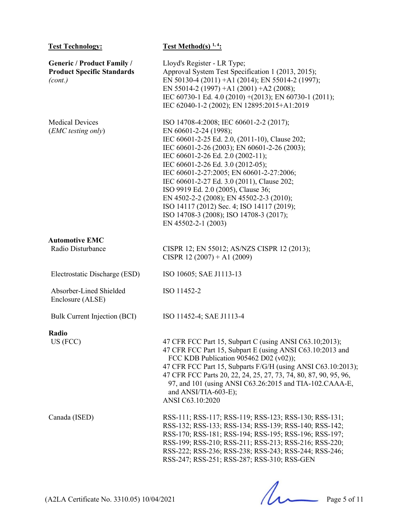| <b>Test Technology:</b>                                                           | <b>Test Method(s)</b> $1, 4$ :                                                                                                                                                                                                                                                                                                                                                                                                                                                                                                            |
|-----------------------------------------------------------------------------------|-------------------------------------------------------------------------------------------------------------------------------------------------------------------------------------------------------------------------------------------------------------------------------------------------------------------------------------------------------------------------------------------------------------------------------------------------------------------------------------------------------------------------------------------|
| <b>Generic / Product Family /</b><br><b>Product Specific Standards</b><br>(cont.) | Lloyd's Register - LR Type;<br>Approval System Test Specification 1 (2013, 2015);<br>EN 50130-4 (2011) +A1 (2014); EN 55014-2 (1997);<br>EN 55014-2 (1997) +A1 (2001) +A2 (2008);<br>IEC 60730-1 Ed. 4.0 (2010) + (2013); EN 60730-1 (2011);<br>IEC 62040-1-2 (2002); EN 12895:2015+A1:2019                                                                                                                                                                                                                                               |
| <b>Medical Devices</b><br>(EMC testing only)                                      | ISO 14708-4:2008; IEC 60601-2-2 (2017);<br>EN 60601-2-24 (1998);<br>IEC 60601-2-25 Ed. 2.0, (2011-10), Clause 202;<br>IEC 60601-2-26 (2003); EN 60601-2-26 (2003);<br>IEC 60601-2-26 Ed. 2.0 (2002-11);<br>IEC 60601-2-26 Ed. 3.0 (2012-05);<br>IEC 60601-2-27:2005; EN 60601-2-27:2006;<br>IEC 60601-2-27 Ed. 3.0 (2011), Clause 202;<br>ISO 9919 Ed. 2.0 (2005), Clause 36;<br>EN 4502-2-2 (2008); EN 45502-2-3 (2010);<br>ISO 14117 (2012) Sec. 4; ISO 14117 (2019);<br>ISO 14708-3 (2008); ISO 14708-3 (2017);<br>EN 45502-2-1 (2003) |
| <b>Automotive EMC</b>                                                             |                                                                                                                                                                                                                                                                                                                                                                                                                                                                                                                                           |
| Radio Disturbance                                                                 | CISPR 12; EN 55012; AS/NZS CISPR 12 (2013);<br>CISPR 12 $(2007) + A1 (2009)$                                                                                                                                                                                                                                                                                                                                                                                                                                                              |
| Electrostatic Discharge (ESD)                                                     | ISO 10605; SAE J1113-13                                                                                                                                                                                                                                                                                                                                                                                                                                                                                                                   |
| Absorber-Lined Shielded<br>Enclosure (ALSE)                                       | ISO 11452-2                                                                                                                                                                                                                                                                                                                                                                                                                                                                                                                               |
| <b>Bulk Current Injection (BCI)</b>                                               | ISO 11452-4; SAE J1113-4                                                                                                                                                                                                                                                                                                                                                                                                                                                                                                                  |
| Radio<br>US (FCC)                                                                 | 47 CFR FCC Part 15, Subpart C (using ANSI C63.10;2013);<br>47 CFR FCC Part 15, Subpart E (using ANSI C63.10:2013 and<br>FCC KDB Publication 905462 D02 (v02));<br>47 CFR FCC Part 15, Subparts F/G/H (using ANSI C63.10:2013);<br>47 CFR FCC Parts 20, 22, 24, 25, 27, 73, 74, 80, 87, 90, 95, 96,<br>97, and 101 (using ANSI C63.26:2015 and TIA-102.CAAA-E,<br>and ANSI/TIA-603-E);<br>ANSI C63.10:2020                                                                                                                                 |
| Canada (ISED)                                                                     | RSS-111; RSS-117; RSS-119; RSS-123; RSS-130; RSS-131;<br>RSS-132; RSS-133; RSS-134; RSS-139; RSS-140; RSS-142;<br>RSS-170; RSS-181; RSS-194; RSS-195; RSS-196; RSS-197;<br>RSS-199; RSS-210; RSS-211; RSS-213; RSS-216; RSS-220;<br>RSS-222; RSS-236; RSS-238; RSS-243; RSS-244; RSS-246;<br>RSS-247; RSS-251; RSS-287; RSS-310; RSS-GEN                                                                                                                                                                                                  |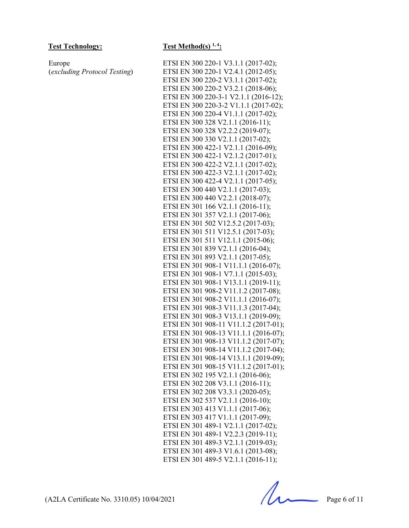Europe (*excluding Protocol Testing*)

### **Test Technology: Test Method(s) 1, 4:**

ETSI EN 300 220-1 V3.1.1 (2017-02); ETSI EN 300 220-1 V2.4.1 (2012-05); ETSI EN 300 220-2 V3.1.1 (2017-02); ETSI EN 300 220-2 V3.2.1 (2018-06); ETSI EN 300 220-3-1 V2.1.1 (2016-12); ETSI EN 300 220-3-2 V1.1.1 (2017-02); ETSI EN 300 220-4 V1.1.1 (2017-02); ETSI EN 300 328 V2.1.1 (2016-11); ETSI EN 300 328 V2.2.2 (2019-07); ETSI EN 300 330 V2.1.1 (2017-02); ETSI EN 300 422-1 V2.1.1 (2016-09); ETSI EN 300 422-1 V2.1.2 (2017-01); ETSI EN 300 422-2 V2.1.1 (2017-02); ETSI EN 300 422-3 V2.1.1 (2017-02); ETSI EN 300 422-4 V2.1.1 (2017-05); ETSI EN 300 440 V2.1.1 (2017-03); ETSI EN 300 440 V2.2.1 (2018-07); ETSI EN 301 166 V2.1.1 (2016-11); ETSI EN 301 357 V2.1.1 (2017-06); ETSI EN 301 502 V12.5.2 (2017-03); ETSI EN 301 511 V12.5.1 (2017-03); ETSI EN 301 511 V12.1.1 (2015-06); ETSI EN 301 839 V2.1.1 (2016-04); ETSI EN 301 893 V2.1.1 (2017-05); ETSI EN 301 908-1 V11.1.1 (2016-07); ETSI EN 301 908-1 V7.1.1 (2015-03); ETSI EN 301 908-1 V13.1.1 (2019-11); ETSI EN 301 908-2 V11.1.2 (2017-08); ETSI EN 301 908-2 V11.1.1 (2016-07); ETSI EN 301 908-3 V11.1.3 (2017-04); ETSI EN 301 908-3 V13.1.1 (2019-09); ETSI EN 301 908-11 V11.1.2 (2017-01); ETSI EN 301 908-13 V11.1.1 (2016-07); ETSI EN 301 908-13 V11.1.2 (2017-07); ETSI EN 301 908-14 V11.1.2 (2017-04); ETSI EN 301 908-14 V13.1.1 (2019-09); ETSI EN 301 908-15 V11.1.2 (2017-01); ETSI EN 302 195 V2.1.1 (2016-06); ETSI EN 302 208 V3.1.1 (2016-11); ETSI EN 302 208 V3.3.1 (2020-05); ETSI EN 302 537 V2.1.1 (2016-10); ETSI EN 303 413 V1.1.1 (2017-06); ETSI EN 303 417 V1.1.1 (2017-09); ETSI EN 301 489-1 V2.1.1 (2017-02); ETSI EN 301 489-1 V2.2.3 (2019-11); ETSI EN 301 489-3 V2.1.1 (2019-03); ETSI EN 301 489-3 V1.6.1 (2013-08); ETSI EN 301 489-5 V2.1.1 (2016-11);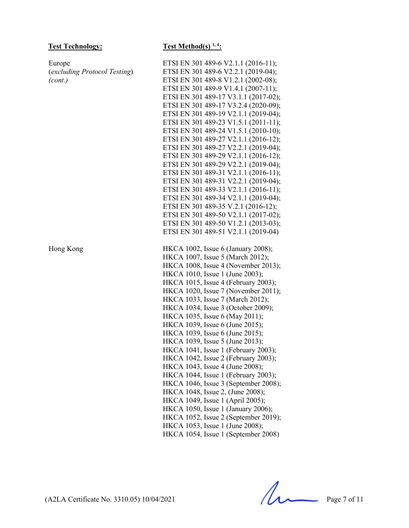Europe (*excluding Protocol Testing*) *(cont.)*

## **Test Technology: Test Method(s) 1, 4:**

ETSI EN 301 489-6 V2.1.1 (2016-11); ETSI EN 301 489-6 V2.2.1 (2019-04); ETSI EN 301 489-8 V1.2.1 (2002-08); ETSI EN 301 489-9 V1.4.1 (2007-11); ETSI EN 301 489-17 V3.1.1 (2017-02); ETSI EN 301 489-17 V3.2.4 (2020-09); ETSI EN 301 489-19 V2.1.1 (2019-04); ETSI EN 301 489-23 V1.5.1 (2011-11); ETSI EN 301 489-24 V1.5.1 (2010-10); ETSI EN 301 489-27 V2.1.1 (2016-12); ETSI EN 301 489-27 V2.2.1 (2019-04); ETSI EN 301 489-29 V2.1.1 (2016-12); ETSI EN 301 489-29 V2.2.1 (2019-04); ETSI EN 301 489-31 V2.1.1 (2016-11); ETSI EN 301 489-31 V2.2.1 (2019-04); ETSI EN 301 489-33 V2.1.1 (2016-11); ETSI EN 301 489-34 V2.1.1 (2019-04); ETSI EN 301 489-35 V.2.1 (2016-12); ETSI EN 301 489-50 V2.1.1 (2017-02); ETSI EN 301 489-50 V1.2.1 (2013-03); ETSI EN 301 489-51 V2.1.1 (2019-04) Hong Kong HKCA 1002, Issue 6 (January 2008); HKCA 1007, Issue 5 (March 2012); HKCA 1008, Issue 4 (November 2013); HKCA 1010, Issue 1 (June 2003); HKCA 1015, Issue 4 (February 2003); HKCA 1020, Issue 7 (November 2011); HKCA 1033, Issue 7 (March 2012); HKCA 1034, Issue 3 (October 2009); HKCA 1035, Issue 6 (May 2011); HKCA 1039, Issue 6 (June 2015); HKCA 1039, Issue 6 (June 2015); HKCA 1039, Issue 5 (June 2013); HKCA 1041, Issue 1 (February 2003); HKCA 1042, Issue 2 (February 2003); HKCA 1043, Issue 4 (June 2008); HKCA 1044, Issue 1 (February 2003); HKCA 1046, Issue 3 (September 2008); HKCA 1048, Issue 2, (June 2008); HKCA 1049, Issue 1 (April 2005); HKCA 1050, Issue 1 (January 2006); HKCA 1052, Issue 2 (September 2019); HKCA 1053, Issue 1 (June 2008); HKCA 1054, Issue 1 (September 2008)

(A2LA Certificate No. 3310.05) 10/04/2021 Page 7 of 11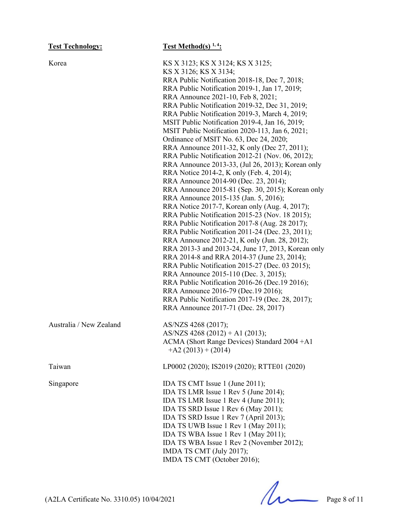| <b>Test Technology:</b> | Test Method(s) $1, 4$ :                                                                                                                                                                                                                                                                                                                                                                                                                                                                                                                                                                                                                                                                                                                                                                                                                                                                                                                                                                                                                                                                                                                                                                                                                                                                                                                                                                                                                              |
|-------------------------|------------------------------------------------------------------------------------------------------------------------------------------------------------------------------------------------------------------------------------------------------------------------------------------------------------------------------------------------------------------------------------------------------------------------------------------------------------------------------------------------------------------------------------------------------------------------------------------------------------------------------------------------------------------------------------------------------------------------------------------------------------------------------------------------------------------------------------------------------------------------------------------------------------------------------------------------------------------------------------------------------------------------------------------------------------------------------------------------------------------------------------------------------------------------------------------------------------------------------------------------------------------------------------------------------------------------------------------------------------------------------------------------------------------------------------------------------|
| Korea                   | KS X 3123; KS X 3124; KS X 3125;<br>KS X 3126; KS X 3134;<br>RRA Public Notification 2018-18, Dec 7, 2018;<br>RRA Public Notification 2019-1, Jan 17, 2019;<br>RRA Announce 2021-10, Feb 8, 2021;<br>RRA Public Notification 2019-32, Dec 31, 2019;<br>RRA Public Notification 2019-3, March 4, 2019;<br>MSIT Public Notification 2019-4, Jan 16, 2019;<br>MSIT Public Notification 2020-113, Jan 6, 2021;<br>Ordinance of MSIT No. 63, Dec 24, 2020;<br>RRA Announce 2011-32, K only (Dec 27, 2011);<br>RRA Public Notification 2012-21 (Nov. 06, 2012);<br>RRA Announce 2013-33, (Jul 26, 2013); Korean only<br>RRA Notice 2014-2, K only (Feb. 4, 2014);<br>RRA Announce 2014-90 (Dec. 23, 2014);<br>RRA Announce 2015-81 (Sep. 30, 2015); Korean only<br>RRA Announce 2015-135 (Jan. 5, 2016);<br>RRA Notice 2017-7, Korean only (Aug. 4, 2017);<br>RRA Public Notification 2015-23 (Nov. 18 2015);<br>RRA Public Notification 2017-8 (Aug. 28 2017);<br>RRA Public Notification 2011-24 (Dec. 23, 2011);<br>RRA Announce 2012-21, K only (Jun. 28, 2012);<br>RRA 2013-3 and 2013-24, June 17, 2013, Korean only<br>RRA 2014-8 and RRA 2014-37 (June 23, 2014);<br>RRA Public Notification 2015-27 (Dec. 03 2015);<br>RRA Announce 2015-110 (Dec. 3, 2015);<br>RRA Public Notification 2016-26 (Dec.19 2016);<br>RRA Announce 2016-79 (Dec.19 2016);<br>RRA Public Notification 2017-19 (Dec. 28, 2017);<br>RRA Announce 2017-71 (Dec. 28, 2017) |
| Australia / New Zealand | AS/NZS 4268 (2017);<br>AS/NZS 4268 (2012) + A1 (2013);<br>ACMA (Short Range Devices) Standard 2004 +A1<br>$+A2(2013)+(2014)$                                                                                                                                                                                                                                                                                                                                                                                                                                                                                                                                                                                                                                                                                                                                                                                                                                                                                                                                                                                                                                                                                                                                                                                                                                                                                                                         |
| Taiwan                  | LP0002 (2020); IS2019 (2020); RTTE01 (2020)                                                                                                                                                                                                                                                                                                                                                                                                                                                                                                                                                                                                                                                                                                                                                                                                                                                                                                                                                                                                                                                                                                                                                                                                                                                                                                                                                                                                          |
| Singapore               | IDA TS CMT Issue 1 (June 2011);<br>IDA TS LMR Issue 1 Rev 5 (June 2014);<br>IDA TS LMR Issue 1 Rev 4 (June 2011);<br>IDA TS SRD Issue 1 Rev 6 (May 2011);<br>IDA TS SRD Issue 1 Rev 7 (April 2013);<br>IDA TS UWB Issue 1 Rev 1 (May 2011);<br>IDA TS WBA Issue 1 Rev 1 (May 2011);<br>IDA TS WBA Issue 1 Rev 2 (November 2012);<br>IMDA TS CMT (July 2017);<br>IMDA TS CMT (October 2016);                                                                                                                                                                                                                                                                                                                                                                                                                                                                                                                                                                                                                                                                                                                                                                                                                                                                                                                                                                                                                                                          |

 $(A2LA \text{ Certificance No. } 3310.05) 10/04/2021$  Page 8 of 11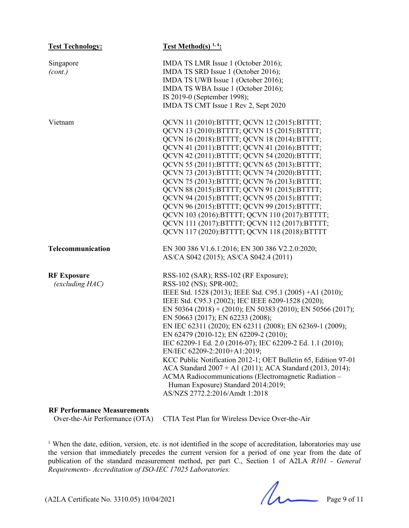| <b>Test Technology:</b>               | <b>Test Method(s)</b> $1, 4$ :                                                                                                                                                                                                                                                                                                                                                                                                                                                                                                                                                                                                                                                                                                                              |
|---------------------------------------|-------------------------------------------------------------------------------------------------------------------------------------------------------------------------------------------------------------------------------------------------------------------------------------------------------------------------------------------------------------------------------------------------------------------------------------------------------------------------------------------------------------------------------------------------------------------------------------------------------------------------------------------------------------------------------------------------------------------------------------------------------------|
| Singapore<br>(cont.)                  | IMDA TS LMR Issue 1 (October 2016);<br>IMDA TS SRD Issue 1 (October 2016);<br>IMDA TS UWB Issue 1 (October 2016);<br>IMDA TS WBA Issue 1 (October 2016);<br>IS 2019-0 (September 1998);<br>IMDA TS CMT Issue 1 Rev 2, Sept 2020                                                                                                                                                                                                                                                                                                                                                                                                                                                                                                                             |
| Vietnam                               | QCVN 11 (2010):BTTTT; QCVN 12 (2015):BTTTT;<br>QCVN 13 (2010): BTTTT; QCVN 15 (2015): BTTTT;<br>QCVN 16 (2018): BTTTT; QCVN 18 (2014): BTTTT;<br>QCVN 41 (2011): BTTTT; QCVN 41 (2016): BTTTT;<br>QCVN 42 (2011): BTTTT; QCVN 54 (2020): BTTTT;<br>QCVN 55 (2011): BTTTT; QCVN 65 (2013): BTTTT;<br>QCVN 73 (2013): BTTTT; QCVN 74 (2020): BTTTT;<br>QCVN 75 (2013): BTTTT; QCVN 76 (2013): BTTTT;<br>QCVN 88 (2015): BTTTT; QCVN 91 (2015): BTTTT;<br>QCVN 94 (2015): BTTTT; QCVN 95 (2015): BTTTT;<br>QCVN 96 (2015): BTTTT; QCVN 99 (2015): BTTTT;<br>QCVN 103 (2016):BTTTT; QCVN 110 (2017):BTTTT;<br>QCVN 111 (2017):BTTTT; QCVN 112 (2017):BTTTT;<br>QCVN 117 (2020): BTTTT; QCVN 118 (2018): BTTTT                                                   |
| Telecommunication                     | EN 300 386 V1.6.1:2016; EN 300 386 V2.2.0:2020;<br>AS/CA S042 (2015); AS/CA S042.4 (2011)                                                                                                                                                                                                                                                                                                                                                                                                                                                                                                                                                                                                                                                                   |
| <b>RF Exposure</b><br>(excluding HAC) | RSS-102 (SAR); RSS-102 (RF Exposure);<br>RSS-102 (NS); SPR-002;<br>IEEE Std. 1528 (2013); IEEE Std. C95.1 (2005) +A1 (2010);<br>IEEE Std. C95.3 (2002); IEC IEEE 6209-1528 (2020);<br>EN 50364 (2018) + (2010); EN 50383 (2010); EN 50566 (2017);<br>EN 50663 (2017); EN 62233 (2008);<br>EN IEC 62311 (2020); EN 62311 (2008); EN 62369-1 (2009);<br>EN 62479 (2010-12); EN 62209-2 (2010);<br>IEC 62209-1 Ed. 2.0 (2016-07); IEC 62209-2 Ed. 1.1 (2010);<br>EN/IEC 62209-2:2010+A1:2019;<br>KCC Public Notification 2012-1; OET Bulletin 65, Edition 97-01<br>ACA Standard 2007 + A1 (2011); ACA Standard (2013, 2014);<br>ACMA Radiocommunications (Electromagnetic Radiation -<br>Human Exposure) Standard 2014:2019;<br>AS/NZS 2772.2:2016/Amdt 1:2018 |
|                                       |                                                                                                                                                                                                                                                                                                                                                                                                                                                                                                                                                                                                                                                                                                                                                             |

## **RF Performance Measurements**

CTIA Test Plan for Wireless Device Over-the-Air

<sup>1</sup> When the date, edition, version, etc. is not identified in the scope of accreditation, laboratories may use the version that immediately precedes the current version for a period of one year from the date of publication of the standard measurement method, per part C., Section 1 of A2LA *R101 - General Requirements- Accreditation of ISO-IEC 17025 Laboratories.*

 $(A2LA$  Certificate No. 3310.05) 10/04/2021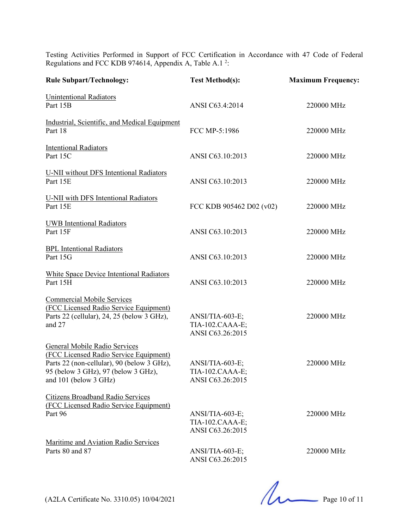Testing Activities Performed in Support of FCC Certification in Accordance with 47 Code of Federal Regulations and FCC KDB 974614, Appendix A, Table A.1 $^2$ :

| <b>Rule Subpart/Technology:</b>                                                                                                                                                       | <b>Test Method(s):</b>                                 | <b>Maximum Frequency:</b> |
|---------------------------------------------------------------------------------------------------------------------------------------------------------------------------------------|--------------------------------------------------------|---------------------------|
| <b>Unintentional Radiators</b><br>Part 15B                                                                                                                                            | ANSI C63.4:2014                                        | 220000 MHz                |
| Industrial, Scientific, and Medical Equipment<br>Part 18                                                                                                                              | FCC MP-5:1986                                          | 220000 MHz                |
| <b>Intentional Radiators</b><br>Part 15C                                                                                                                                              | ANSI C63.10:2013                                       | 220000 MHz                |
| <b>U-NII</b> without DFS Intentional Radiators<br>Part 15E                                                                                                                            | ANSI C63.10:2013                                       | 220000 MHz                |
| <b>U-NII</b> with DFS Intentional Radiators<br>Part 15E                                                                                                                               | FCC KDB 905462 D02 (v02)                               | 220000 MHz                |
| <b>UWB</b> Intentional Radiators<br>Part 15F                                                                                                                                          | ANSI C63.10:2013                                       | 220000 MHz                |
| <b>BPL</b> Intentional Radiators<br>Part 15G                                                                                                                                          | ANSI C63.10:2013                                       | 220000 MHz                |
| White Space Device Intentional Radiators<br>Part 15H                                                                                                                                  | ANSI C63.10:2013                                       | 220000 MHz                |
| <b>Commercial Mobile Services</b><br>(FCC Licensed Radio Service Equipment)<br>Parts 22 (cellular), 24, 25 (below 3 GHz),<br>and 27                                                   | ANSI/TIA-603-E;<br>TIA-102.CAAA-E;<br>ANSI C63.26:2015 | 220000 MHz                |
| General Mobile Radio Services<br>(FCC Licensed Radio Service Equipment)<br>Parts 22 (non-cellular), 90 (below 3 GHz),<br>95 (below 3 GHz), 97 (below 3 GHz),<br>and 101 (below 3 GHz) | ANSI/TIA-603-E;<br>TIA-102.CAAA-E;<br>ANSI C63.26:2015 | 220000 MHz                |
| <b>Citizens Broadband Radio Services</b><br>(FCC Licensed Radio Service Equipment)<br>Part 96                                                                                         | ANSI/TIA-603-E;<br>TIA-102.CAAA-E;<br>ANSI C63.26:2015 | 220000 MHz                |
| Maritime and Aviation Radio Services<br>Parts 80 and 87                                                                                                                               | ANSI/TIA-603-E;<br>ANSI C63.26:2015                    | 220000 MHz                |

(A2LA Certificate No. 3310.05) 10/04/2021 Page 10 of 11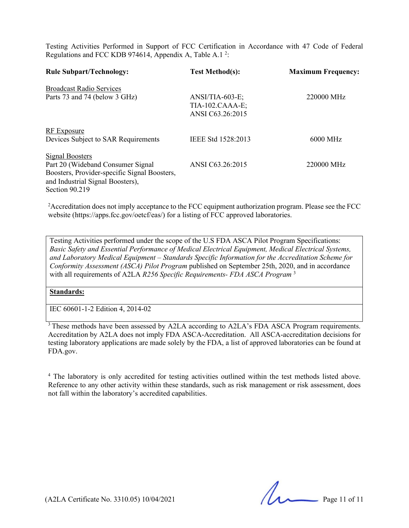Testing Activities Performed in Support of FCC Certification in Accordance with 47 Code of Federal Regulations and FCC KDB 974614, Appendix A, Table A.1 $^2$ :

| <b>Rule Subpart/Technology:</b>                                                                                                         | <b>Test Method(s):</b>                                   | <b>Maximum Frequency:</b> |
|-----------------------------------------------------------------------------------------------------------------------------------------|----------------------------------------------------------|---------------------------|
| <b>Broadcast Radio Services</b>                                                                                                         |                                                          |                           |
| Parts 73 and 74 (below 3 GHz)                                                                                                           | $ANSI/TIA-603-E;$<br>TIA-102.CAAA-E;<br>ANSI C63.26:2015 | 220000 MHz                |
| RF Exposure<br>Devices Subject to SAR Requirements                                                                                      | IEEE Std 1528:2013                                       | $6000 \text{ MHz}$        |
| <b>Signal Boosters</b>                                                                                                                  |                                                          |                           |
| Part 20 (Wideband Consumer Signal<br>Boosters, Provider-specific Signal Boosters,<br>and Industrial Signal Boosters),<br>Section 90.219 | ANSI C63.26:2015                                         | 220000 MHz                |

<sup>2</sup> Accreditation does not imply acceptance to the FCC equipment authorization program. Please see the FCC website (https://apps.fcc.gov/oetcf/eas/) for a listing of FCC approved laboratories.

Testing Activities performed under the scope of the U.S FDA ASCA Pilot Program Specifications: *Basic Safety and Essential Performance of Medical Electrical Equipment, Medical Electrical Systems, and Laboratory Medical Equipment – Standards Specific Information for the Accreditation Scheme for Conformity Assessment (ASCA) Pilot Program* published on September 25th, 2020, and in accordance with all requirements of A2LA *R256 Specific Requirements- FDA ASCA Program* <sup>3</sup>

**Standards:**

IEC 60601-1-2 Edition 4, 2014-02

<sup>3</sup> These methods have been assessed by A2LA according to A2LA's FDA ASCA Program requirements. Accreditation by A2LA does not imply FDA ASCA-Accreditation. All ASCA-accreditation decisions for testing laboratory applications are made solely by the FDA, a list of approved laboratories can be found at FDA.gov.

<sup>4</sup> The laboratory is only accredited for testing activities outlined within the test methods listed above. Reference to any other activity within these standards, such as risk management or risk assessment, does not fall within the laboratory's accredited capabilities.

(A2LA Certificate No. 3310.05) 10/04/2021 Page 11 of 11